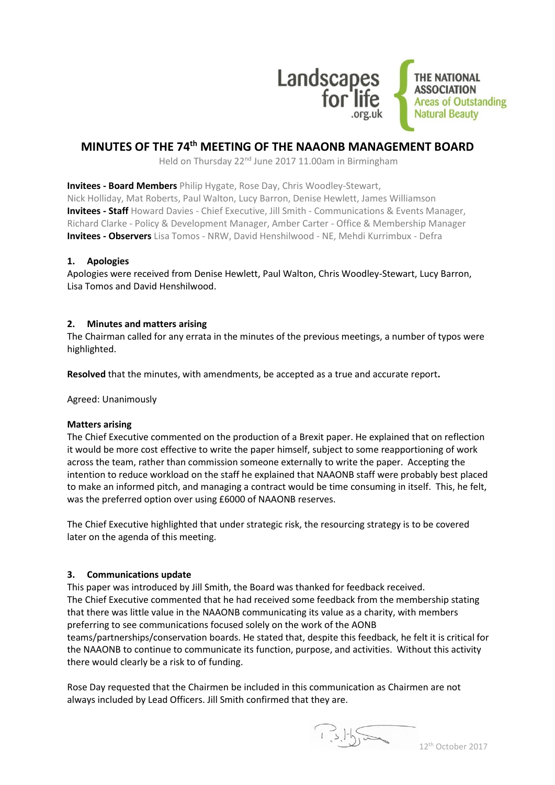

# **MINUTES OF THE 74th MEETING OF THE NAAONB MANAGEMENT BOARD**

Held on Thursday 22<sup>nd</sup> June 2017 11.00am in Birmingham

**Invitees - Board Members** Philip Hygate, Rose Day, Chris Woodley-Stewart, Nick Holliday, Mat Roberts, Paul Walton, Lucy Barron, Denise Hewlett, James Williamson **Invitees - Staff** Howard Davies - Chief Executive, Jill Smith - Communications & Events Manager, Richard Clarke - Policy & Development Manager, Amber Carter - Office & Membership Manager **Invitees - Observers** Lisa Tomos - NRW, David Henshilwood - NE, Mehdi Kurrimbux - Defra

## **1. Apologies**

Apologies were received from Denise Hewlett, Paul Walton, Chris Woodley-Stewart, Lucy Barron, Lisa Tomos and David Henshilwood.

## **2. Minutes and matters arising**

The Chairman called for any errata in the minutes of the previous meetings, a number of typos were highlighted.

**Resolved** that the minutes, with amendments, be accepted as a true and accurate report**.**

Agreed: Unanimously

#### **Matters arising**

The Chief Executive commented on the production of a Brexit paper. He explained that on reflection it would be more cost effective to write the paper himself, subject to some reapportioning of work across the team, rather than commission someone externally to write the paper. Accepting the intention to reduce workload on the staff he explained that NAAONB staff were probably best placed to make an informed pitch, and managing a contract would be time consuming in itself. This, he felt, was the preferred option over using £6000 of NAAONB reserves.

The Chief Executive highlighted that under strategic risk, the resourcing strategy is to be covered later on the agenda of this meeting.

## **3. Communications update**

This paper was introduced by Jill Smith, the Board was thanked for feedback received. The Chief Executive commented that he had received some feedback from the membership stating that there was little value in the NAAONB communicating its value as a charity, with members preferring to see communications focused solely on the work of the AONB teams/partnerships/conservation boards. He stated that, despite this feedback, he felt it is critical for the NAAONB to continue to communicate its function, purpose, and activities. Without this activity there would clearly be a risk to of funding.

Rose Day requested that the Chairmen be included in this communication as Chairmen are not always included by Lead Officers. Jill Smith confirmed that they are.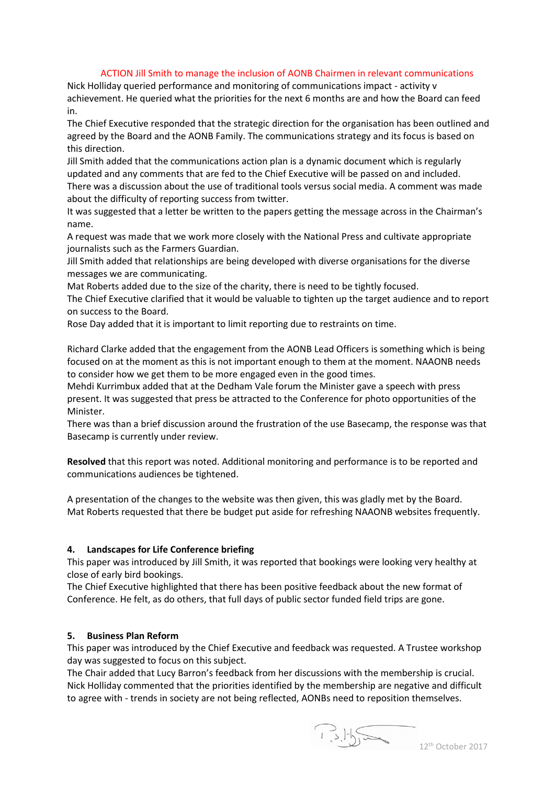#### ACTION Jill Smith to manage the inclusion of AONB Chairmen in relevant communications

Nick Holliday queried performance and monitoring of communications impact - activity v achievement. He queried what the priorities for the next 6 months are and how the Board can feed in.

The Chief Executive responded that the strategic direction for the organisation has been outlined and agreed by the Board and the AONB Family. The communications strategy and its focus is based on this direction.

Jill Smith added that the communications action plan is a dynamic document which is regularly updated and any comments that are fed to the Chief Executive will be passed on and included. There was a discussion about the use of traditional tools versus social media. A comment was made

about the difficulty of reporting success from twitter.

It was suggested that a letter be written to the papers getting the message across in the Chairman's name.

A request was made that we work more closely with the National Press and cultivate appropriate journalists such as the Farmers Guardian.

Jill Smith added that relationships are being developed with diverse organisations for the diverse messages we are communicating.

Mat Roberts added due to the size of the charity, there is need to be tightly focused.

The Chief Executive clarified that it would be valuable to tighten up the target audience and to report on success to the Board.

Rose Day added that it is important to limit reporting due to restraints on time.

Richard Clarke added that the engagement from the AONB Lead Officers is something which is being focused on at the moment as this is not important enough to them at the moment. NAAONB needs to consider how we get them to be more engaged even in the good times.

Mehdi Kurrimbux added that at the Dedham Vale forum the Minister gave a speech with press present. It was suggested that press be attracted to the Conference for photo opportunities of the Minister.

There was than a brief discussion around the frustration of the use Basecamp, the response was that Basecamp is currently under review.

**Resolved** that this report was noted. Additional monitoring and performance is to be reported and communications audiences be tightened.

A presentation of the changes to the website was then given, this was gladly met by the Board. Mat Roberts requested that there be budget put aside for refreshing NAAONB websites frequently.

#### **4. Landscapes for Life Conference briefing**

This paper was introduced by Jill Smith, it was reported that bookings were looking very healthy at close of early bird bookings.

The Chief Executive highlighted that there has been positive feedback about the new format of Conference. He felt, as do others, that full days of public sector funded field trips are gone.

## **5. Business Plan Reform**

This paper was introduced by the Chief Executive and feedback was requested. A Trustee workshop day was suggested to focus on this subject.

The Chair added that Lucy Barron's feedback from her discussions with the membership is crucial. Nick Holliday commented that the priorities identified by the membership are negative and difficult to agree with - trends in society are not being reflected, AONBs need to reposition themselves.

 $1.5.15$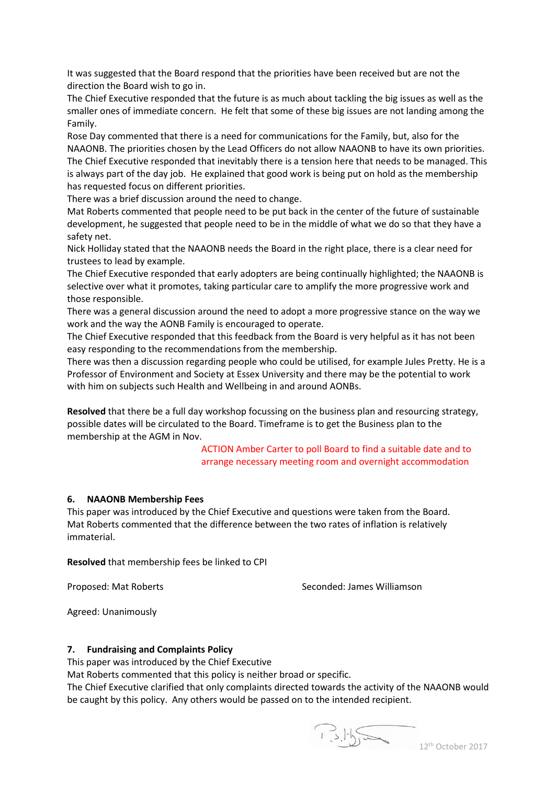It was suggested that the Board respond that the priorities have been received but are not the direction the Board wish to go in.

The Chief Executive responded that the future is as much about tackling the big issues as well as the smaller ones of immediate concern. He felt that some of these big issues are not landing among the Family.

Rose Day commented that there is a need for communications for the Family, but, also for the NAAONB. The priorities chosen by the Lead Officers do not allow NAAONB to have its own priorities. The Chief Executive responded that inevitably there is a tension here that needs to be managed. This is always part of the day job. He explained that good work is being put on hold as the membership has requested focus on different priorities.

There was a brief discussion around the need to change.

Mat Roberts commented that people need to be put back in the center of the future of sustainable development, he suggested that people need to be in the middle of what we do so that they have a safety net.

Nick Holliday stated that the NAAONB needs the Board in the right place, there is a clear need for trustees to lead by example.

The Chief Executive responded that early adopters are being continually highlighted; the NAAONB is selective over what it promotes, taking particular care to amplify the more progressive work and those responsible.

There was a general discussion around the need to adopt a more progressive stance on the way we work and the way the AONB Family is encouraged to operate.

The Chief Executive responded that this feedback from the Board is very helpful as it has not been easy responding to the recommendations from the membership.

There was then a discussion regarding people who could be utilised, for example Jules Pretty. He is a Professor of Environment and Society at Essex University and there may be the potential to work with him on subjects such Health and Wellbeing in and around AONBs.

**Resolved** that there be a full day workshop focussing on the business plan and resourcing strategy, possible dates will be circulated to the Board. Timeframe is to get the Business plan to the membership at the AGM in Nov.

> ACTION Amber Carter to poll Board to find a suitable date and to arrange necessary meeting room and overnight accommodation

#### **6. NAAONB Membership Fees**

This paper was introduced by the Chief Executive and questions were taken from the Board. Mat Roberts commented that the difference between the two rates of inflation is relatively immaterial.

**Resolved** that membership fees be linked to CPI

Proposed: Mat Roberts Seconded: James Williamson

Agreed: Unanimously

#### **7. Fundraising and Complaints Policy**

This paper was introduced by the Chief Executive

Mat Roberts commented that this policy is neither broad or specific.

The Chief Executive clarified that only complaints directed towards the activity of the NAAONB would be caught by this policy. Any others would be passed on to the intended recipient.

 $1.5.15$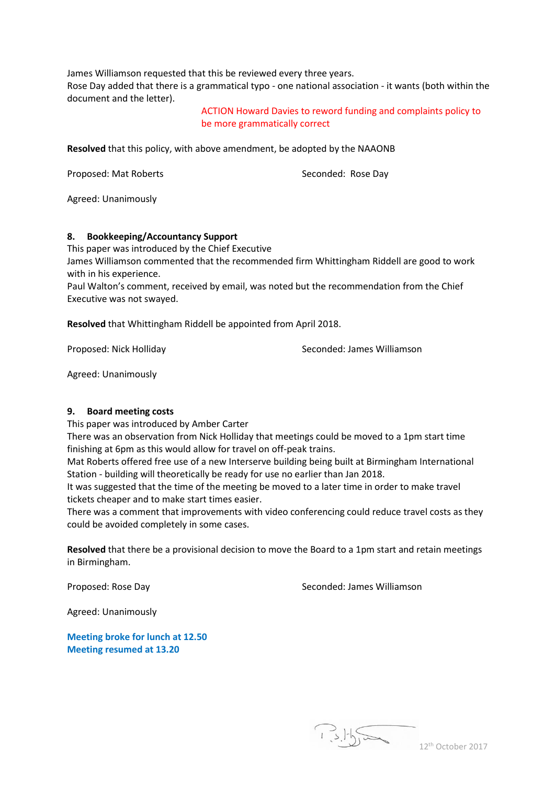James Williamson requested that this be reviewed every three years. Rose Day added that there is a grammatical typo - one national association - it wants (both within the document and the letter).

> ACTION Howard Davies to reword funding and complaints policy to be more grammatically correct

**Resolved** that this policy, with above amendment, be adopted by the NAAONB

Proposed: Mat Roberts Seconded: Rose Day

Agreed: Unanimously

#### **8. Bookkeeping/Accountancy Support**

This paper was introduced by the Chief Executive James Williamson commented that the recommended firm Whittingham Riddell are good to work with in his experience.

Paul Walton's comment, received by email, was noted but the recommendation from the Chief Executive was not swayed.

**Resolved** that Whittingham Riddell be appointed from April 2018.

Proposed: Nick Holliday **Seconded: James Williamson** 

Agreed: Unanimously

#### **9. Board meeting costs**

This paper was introduced by Amber Carter

There was an observation from Nick Holliday that meetings could be moved to a 1pm start time finishing at 6pm as this would allow for travel on off-peak trains.

Mat Roberts offered free use of a new Interserve building being built at Birmingham International Station - building will theoretically be ready for use no earlier than Jan 2018.

It was suggested that the time of the meeting be moved to a later time in order to make travel tickets cheaper and to make start times easier.

There was a comment that improvements with video conferencing could reduce travel costs as they could be avoided completely in some cases.

**Resolved** that there be a provisional decision to move the Board to a 1pm start and retain meetings in Birmingham.

Proposed: Rose Day New Seconded: James Williamson

Agreed: Unanimously

**Meeting broke for lunch at 12.50 Meeting resumed at 13.20**

 $1.5.155$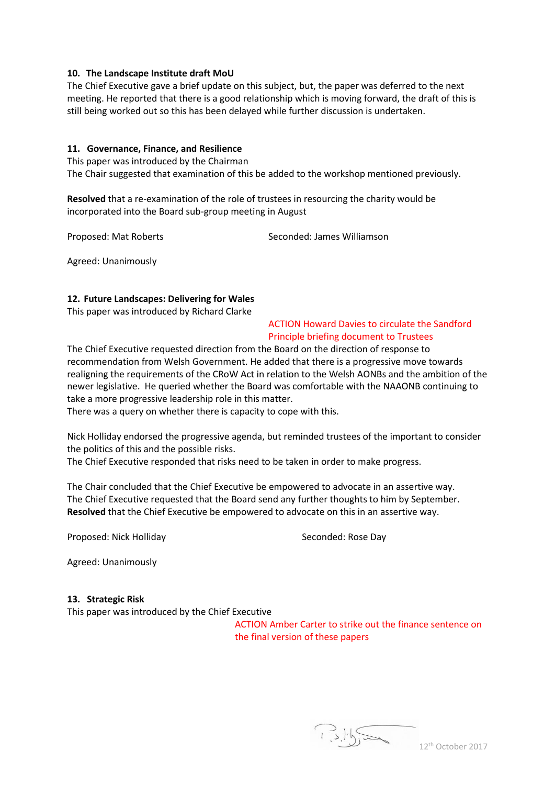#### **10. The Landscape Institute draft MoU**

The Chief Executive gave a brief update on this subject, but, the paper was deferred to the next meeting. He reported that there is a good relationship which is moving forward, the draft of this is still being worked out so this has been delayed while further discussion is undertaken.

## **11. Governance, Finance, and Resilience**

This paper was introduced by the Chairman The Chair suggested that examination of this be added to the workshop mentioned previously.

**Resolved** that a re-examination of the role of trustees in resourcing the charity would be incorporated into the Board sub-group meeting in August

Proposed: Mat Roberts Seconded: James Williamson

Agreed: Unanimously

## **12. Future Landscapes: Delivering for Wales**

This paper was introduced by Richard Clarke

## ACTION Howard Davies to circulate the Sandford Principle briefing document to Trustees

The Chief Executive requested direction from the Board on the direction of response to recommendation from Welsh Government. He added that there is a progressive move towards realigning the requirements of the CRoW Act in relation to the Welsh AONBs and the ambition of the newer legislative. He queried whether the Board was comfortable with the NAAONB continuing to take a more progressive leadership role in this matter.

There was a query on whether there is capacity to cope with this.

Nick Holliday endorsed the progressive agenda, but reminded trustees of the important to consider the politics of this and the possible risks.

The Chief Executive responded that risks need to be taken in order to make progress.

The Chair concluded that the Chief Executive be empowered to advocate in an assertive way. The Chief Executive requested that the Board send any further thoughts to him by September. **Resolved** that the Chief Executive be empowered to advocate on this in an assertive way.

Proposed: Nick Holliday Seconded: Rose Day

Agreed: Unanimously

#### **13. Strategic Risk**

This paper was introduced by the Chief Executive

ACTION Amber Carter to strike out the finance sentence on the final version of these papers

 $1.5.155$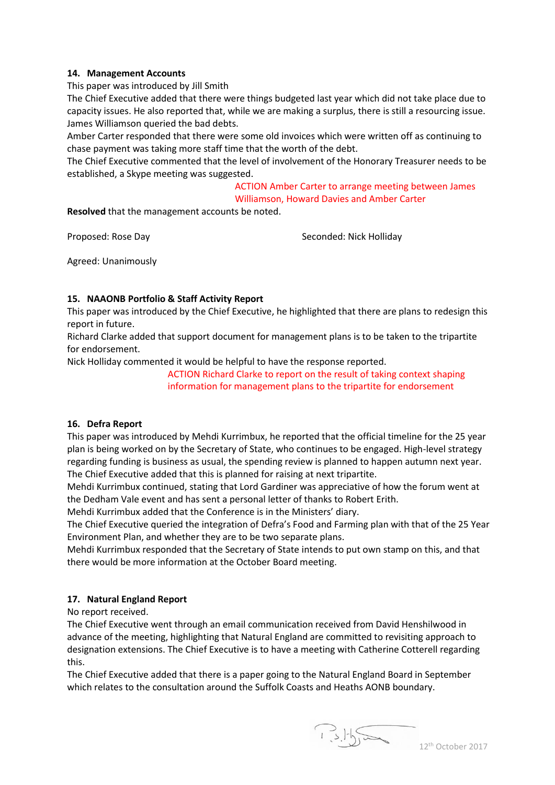## **14. Management Accounts**

This paper was introduced by Jill Smith

The Chief Executive added that there were things budgeted last year which did not take place due to capacity issues. He also reported that, while we are making a surplus, there is still a resourcing issue. James Williamson queried the bad debts.

Amber Carter responded that there were some old invoices which were written off as continuing to chase payment was taking more staff time that the worth of the debt.

The Chief Executive commented that the level of involvement of the Honorary Treasurer needs to be established, a Skype meeting was suggested.

> ACTION Amber Carter to arrange meeting between James Williamson, Howard Davies and Amber Carter

**Resolved** that the management accounts be noted.

Proposed: Rose Day Seconded: Nick Holliday

Agreed: Unanimously

# **15. NAAONB Portfolio & Staff Activity Report**

This paper was introduced by the Chief Executive, he highlighted that there are plans to redesign this report in future.

Richard Clarke added that support document for management plans is to be taken to the tripartite for endorsement.

Nick Holliday commented it would be helpful to have the response reported.

ACTION Richard Clarke to report on the result of taking context shaping information for management plans to the tripartite for endorsement

## **16. Defra Report**

This paper was introduced by Mehdi Kurrimbux, he reported that the official timeline for the 25 year plan is being worked on by the Secretary of State, who continues to be engaged. High-level strategy regarding funding is business as usual, the spending review is planned to happen autumn next year. The Chief Executive added that this is planned for raising at next tripartite.

Mehdi Kurrimbux continued, stating that Lord Gardiner was appreciative of how the forum went at the Dedham Vale event and has sent a personal letter of thanks to Robert Erith.

Mehdi Kurrimbux added that the Conference is in the Ministers' diary.

The Chief Executive queried the integration of Defra's Food and Farming plan with that of the 25 Year Environment Plan, and whether they are to be two separate plans.

Mehdi Kurrimbux responded that the Secretary of State intends to put own stamp on this, and that there would be more information at the October Board meeting.

## **17. Natural England Report**

No report received.

The Chief Executive went through an email communication received from David Henshilwood in advance of the meeting, highlighting that Natural England are committed to revisiting approach to designation extensions. The Chief Executive is to have a meeting with Catherine Cotterell regarding this.

The Chief Executive added that there is a paper going to the Natural England Board in September which relates to the consultation around the Suffolk Coasts and Heaths AONB boundary.

 $1.5.15$